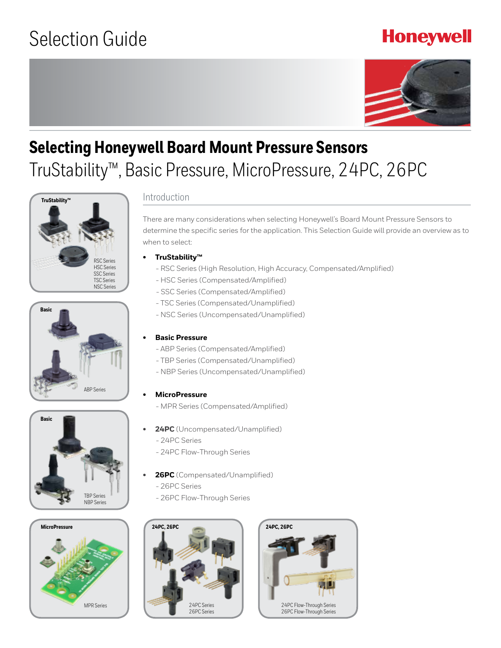## **Honeywell**



# **Selecting Honeywell Board Mount Pressure Sensors** TruStability™, Basic Pressure, MicroPressure, 24PC, 26PC









### Introduction

There are many considerations when selecting Honeywell's Board Mount Pressure Sensors to determine the specific series for the application. This Selection Guide will provide an overview as to when to select:

- **• TruStability™** 
	- RSC Series (High Resolution, High Accuracy, Compensated/Amplified)
	- HSC Series (Compensated/Amplified)
	- SSC Series (Compensated/Amplified)
	- TSC Series (Compensated/Unamplified)
- NSC Series (Uncompensated/Unamplified)

#### **• Basic Pressure**

- ABP Series (Compensated/Amplified)
- TBP Series (Compensated/Unamplified)
- NBP Series (Uncompensated/Unamplified)

#### **• MicroPressure**

- MPR Series (Compensated/Amplified)
- **• 24PC** (Uncompensated/Unamplified)
	- 24PC Series
	- 24PC Flow-Through Series
- **• 26PC** (Compensated/Unamplified)
	- 26PC Series
	- 26PC Flow-Through Series



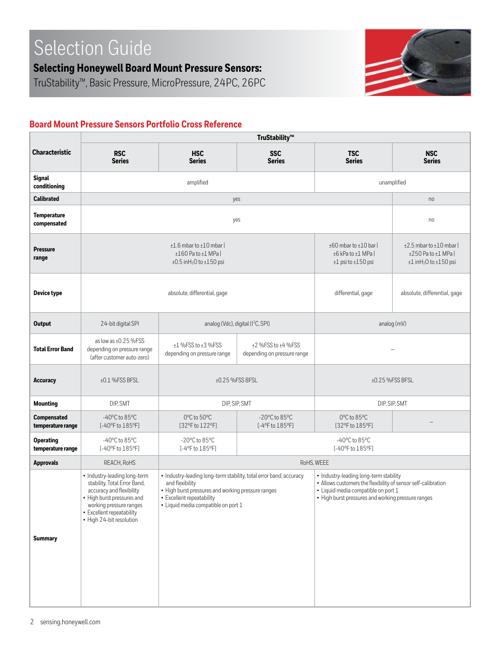**Selecting Honeywell Board Mount Pressure Sensors:** 

TruStability™, Basic Pressure, MicroPressure, 24PC, 26PC



## **Board Mount Pressure Sensors Portfolio Cross Reference**

| <b>Characteristic</b>                   | <b>RSC</b><br><b>Series</b>                                                                                                                                                                                | <b>HSC</b><br><b>Series</b>                                                                                                                                                                                     | <b>SSC</b><br><b>Series</b>                                           | <b>TSC</b><br><b>Series</b>                                                                                                                                                                          | <b>NSC</b><br><b>Series</b> |  |  |  |  |  |  |  |
|-----------------------------------------|------------------------------------------------------------------------------------------------------------------------------------------------------------------------------------------------------------|-----------------------------------------------------------------------------------------------------------------------------------------------------------------------------------------------------------------|-----------------------------------------------------------------------|------------------------------------------------------------------------------------------------------------------------------------------------------------------------------------------------------|-----------------------------|--|--|--|--|--|--|--|
| <b>Signal</b><br>conditioning           |                                                                                                                                                                                                            | amplified                                                                                                                                                                                                       | unamplified                                                           |                                                                                                                                                                                                      |                             |  |  |  |  |  |  |  |
| <b>Calibrated</b>                       |                                                                                                                                                                                                            | yes                                                                                                                                                                                                             |                                                                       | no                                                                                                                                                                                                   |                             |  |  |  |  |  |  |  |
| <b>Temperature</b><br>compensated       |                                                                                                                                                                                                            | yes                                                                                                                                                                                                             |                                                                       | no                                                                                                                                                                                                   |                             |  |  |  |  |  |  |  |
| <b>Pressure</b><br>range                |                                                                                                                                                                                                            | $±1.6$ mbar to $±10$ mbar  <br>$±160$ Pa to $±1$ MPa  <br>$±0.5$ inH <sub>2</sub> O to $±150$ psi                                                                                                               | ±60 mbar to ±10 bar  <br>±6 kPa to ±1 MPa  <br>$±1$ psi to $±150$ psi | $±2.5$ mbar to $±10$ mbar<br>$±250$ Pa to $±1$ MPa  <br>$±1$ inH <sub>2</sub> O to $±150$ psi                                                                                                        |                             |  |  |  |  |  |  |  |
| <b>Device type</b>                      |                                                                                                                                                                                                            | absolute, differential, gage                                                                                                                                                                                    | differential, gage                                                    | absolute, differential, gage                                                                                                                                                                         |                             |  |  |  |  |  |  |  |
| <b>Output</b>                           | 24-bit digital SPI                                                                                                                                                                                         | analog (Vdc), digital (I <sup>2</sup> C, SPI)                                                                                                                                                                   | analog (mV)                                                           |                                                                                                                                                                                                      |                             |  |  |  |  |  |  |  |
| <b>Total Error Band</b>                 | as low as ±0.25 %FSS<br>depending on pressure range<br>(after customer auto-zero)                                                                                                                          | ±1 %FSS to ±3 %FSS<br>depending on pressure range                                                                                                                                                               |                                                                       |                                                                                                                                                                                                      |                             |  |  |  |  |  |  |  |
| <b>Accuracy</b>                         | $±0.1$ %FSS BFSL                                                                                                                                                                                           |                                                                                                                                                                                                                 | ±0.25 %FSS BFSL                                                       | ±0.25 %FSS BFSL                                                                                                                                                                                      |                             |  |  |  |  |  |  |  |
| <b>Mounting</b>                         | DIP, SMT                                                                                                                                                                                                   |                                                                                                                                                                                                                 | DIP, SIP, SMT                                                         | DIP, SIP, SMT                                                                                                                                                                                        |                             |  |  |  |  |  |  |  |
| <b>Compensated</b><br>temperature range | $-40^{\circ}$ C to 85 $^{\circ}$ C<br>[-40°F to 185°F]                                                                                                                                                     | 0°C to 50°C<br>[32°F to 122°F]                                                                                                                                                                                  | $-20^{\circ}$ C to 85 $^{\circ}$ C<br>[-4°F to 185°F]                 | 0°C to 85°C<br>[32°F to 185°F]                                                                                                                                                                       |                             |  |  |  |  |  |  |  |
| <b>Operating</b><br>temperature range   | $-40^{\circ}$ C to 85 $^{\circ}$ C<br>[-40°F to 185°F]                                                                                                                                                     | $-20^{\circ}$ C to 85 $^{\circ}$ C<br>[-4°F to 185°F]                                                                                                                                                           |                                                                       | $-40^{\circ}$ C to 85 $^{\circ}$ C<br>[-40°F to 185°F]                                                                                                                                               |                             |  |  |  |  |  |  |  |
| <b>Approvals</b>                        | REACH, RoHS                                                                                                                                                                                                |                                                                                                                                                                                                                 |                                                                       | RoHS, WEEE                                                                                                                                                                                           |                             |  |  |  |  |  |  |  |
| <b>Summary</b>                          | • Industry-leading long-term<br>stability, Total Error Band,<br>accuracy and flexibility<br>• High burst pressures and<br>working pressure ranges<br>· Excellent repeatability<br>• High 24-bit resolution | • Industry-leading long-term stability, total error band, accuracy<br>and flexibility<br>• High burst pressures and working pressure ranges<br>• Excellent repeatability<br>· Liquid media compatible on port 1 |                                                                       | • Industry-leading long-term stability<br>• Allows customers the flexibility of sensor self-calibration<br>• Liquid media compatible on port 1<br>• High burst pressures and working pressure ranges |                             |  |  |  |  |  |  |  |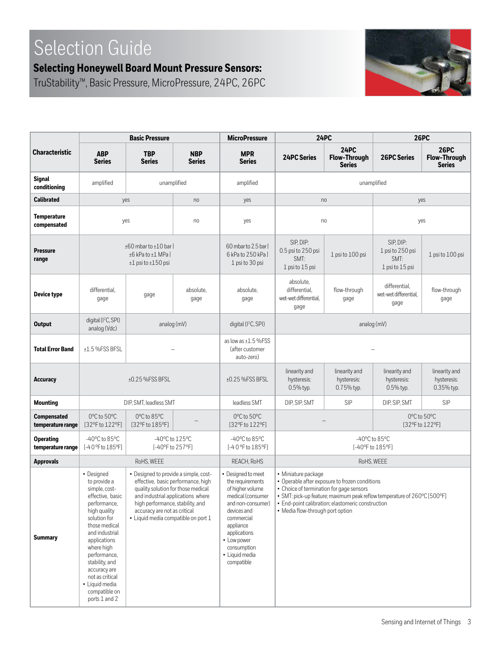## **Selecting Honeywell Board Mount Pressure Sensors:**

TruStability™, Basic Pressure, MicroPressure, 24PC, 26PC



|                                         |                                                                                                                                                                                                                                                                                                           | <b>Basic Pressure</b>                                                                                                                                                                                                                                             |                             | <b>MicroPressure</b>                                                                                                                                                                                                         |                                                                                                                                                                                                                                                                                        | <b>24PC</b>                                         | <b>26PC</b>                                              |                                                     |  |  |  |  |  |  |  |
|-----------------------------------------|-----------------------------------------------------------------------------------------------------------------------------------------------------------------------------------------------------------------------------------------------------------------------------------------------------------|-------------------------------------------------------------------------------------------------------------------------------------------------------------------------------------------------------------------------------------------------------------------|-----------------------------|------------------------------------------------------------------------------------------------------------------------------------------------------------------------------------------------------------------------------|----------------------------------------------------------------------------------------------------------------------------------------------------------------------------------------------------------------------------------------------------------------------------------------|-----------------------------------------------------|----------------------------------------------------------|-----------------------------------------------------|--|--|--|--|--|--|--|
| <b>Characteristic</b>                   | <b>ABP</b><br><b>Series</b>                                                                                                                                                                                                                                                                               | <b>TBP</b><br><b>Series</b>                                                                                                                                                                                                                                       | <b>NBP</b><br><b>Series</b> | <b>MPR</b><br><b>Series</b>                                                                                                                                                                                                  | <b>24PC Series</b>                                                                                                                                                                                                                                                                     | <b>24PC</b><br><b>Flow-Through</b><br><b>Series</b> | <b>26PC Series</b>                                       | <b>26PC</b><br><b>Flow-Through</b><br><b>Series</b> |  |  |  |  |  |  |  |
| <b>Signal</b><br>conditioning           | amplified                                                                                                                                                                                                                                                                                                 | unamplified                                                                                                                                                                                                                                                       |                             | amplified                                                                                                                                                                                                                    | unamplified                                                                                                                                                                                                                                                                            |                                                     |                                                          |                                                     |  |  |  |  |  |  |  |
| <b>Calibrated</b>                       |                                                                                                                                                                                                                                                                                                           | yes                                                                                                                                                                                                                                                               | no                          | yes                                                                                                                                                                                                                          | no<br>yes                                                                                                                                                                                                                                                                              |                                                     |                                                          |                                                     |  |  |  |  |  |  |  |
| <b>Temperature</b><br>compensated       |                                                                                                                                                                                                                                                                                                           | yes                                                                                                                                                                                                                                                               | no                          | yes                                                                                                                                                                                                                          |                                                                                                                                                                                                                                                                                        | no                                                  | yes                                                      |                                                     |  |  |  |  |  |  |  |
| <b>Pressure</b><br>range                |                                                                                                                                                                                                                                                                                                           | ±60 mbar to ±10 bar  <br>±6 kPa to ±1 MPa  <br>$±1$ psi to $±150$ psi                                                                                                                                                                                             |                             | 60 mbar to 2.5 bar  <br>6 kPa to 250 kPa  <br>1 psi to 30 psi                                                                                                                                                                | SIP, DIP:<br>0.5 psi to 250 psi<br>SMT:<br>1 psi to 15 psi                                                                                                                                                                                                                             | 1 psi to 100 psi                                    | SIP, DIP:<br>1 psi to 250 psi<br>SMT:<br>1 psi to 15 psi | 1 psi to 100 psi                                    |  |  |  |  |  |  |  |
| Device type                             | differential,<br>gage                                                                                                                                                                                                                                                                                     | gage                                                                                                                                                                                                                                                              | absolute.<br>gage           | absolute,<br>gage                                                                                                                                                                                                            | absolute.<br>differential.<br>wet-wet differential,<br>gage                                                                                                                                                                                                                            | flow-through<br>gage                                | differential,<br>wet-wet differential,<br>gage           | flow-through<br>gage                                |  |  |  |  |  |  |  |
| <b>Output</b>                           | digital (I <sup>2</sup> C, SPI)<br>analog (Vdc)                                                                                                                                                                                                                                                           | analog (mV)                                                                                                                                                                                                                                                       |                             | digital (I <sup>2</sup> C, SPI)                                                                                                                                                                                              |                                                                                                                                                                                                                                                                                        | analog (mV)                                         |                                                          |                                                     |  |  |  |  |  |  |  |
| <b>Total Error Band</b>                 | $±1.5$ %FSS BFSL                                                                                                                                                                                                                                                                                          |                                                                                                                                                                                                                                                                   |                             | as low as $±1.5$ %FSS<br>(after customer<br>auto-zero)                                                                                                                                                                       |                                                                                                                                                                                                                                                                                        |                                                     |                                                          |                                                     |  |  |  |  |  |  |  |
| <b>Accuracy</b>                         |                                                                                                                                                                                                                                                                                                           | ±0.25 %FSS BFSL                                                                                                                                                                                                                                                   |                             | ±0.25 %FSS BFSL                                                                                                                                                                                                              | linearity and<br>hysteresis:<br>0.5% typ.                                                                                                                                                                                                                                              | linearity and<br>hysteresis:<br>0.75% typ.          | linearity and<br>hysteresis:<br>0.5% typ.                | linearity and<br>hysteresis:<br>0.35% typ.          |  |  |  |  |  |  |  |
| <b>Mounting</b>                         |                                                                                                                                                                                                                                                                                                           | DIP, SMT, leadless SMT                                                                                                                                                                                                                                            |                             | leadless SMT                                                                                                                                                                                                                 | DIP, SIP, SMT                                                                                                                                                                                                                                                                          | SIP                                                 | DIP, SIP, SMT                                            | SIP                                                 |  |  |  |  |  |  |  |
| <b>Compensated</b><br>temperature range | 0°C to 50°C<br>[32°F to 122°F]                                                                                                                                                                                                                                                                            | $0^{\circ}$ C to 85 $^{\circ}$ C<br>[32°F to 185°F]                                                                                                                                                                                                               |                             | 0°C to 50°C<br>[32°F to 122°F]                                                                                                                                                                                               |                                                                                                                                                                                                                                                                                        |                                                     | 0°C to 50°C<br>[32°F to 122°F]                           |                                                     |  |  |  |  |  |  |  |
| <b>Operating</b><br>temperature range   | $-40^{\circ}$ C to 85 $^{\circ}$ C<br>[-40 °F to 185°F]                                                                                                                                                                                                                                                   | -40°C to 125°C<br>[-40°F to 257°F]                                                                                                                                                                                                                                |                             | $-40^{\circ}$ C to 85 $^{\circ}$ C<br>[-40 °F to 185°F]                                                                                                                                                                      | -40°C to 85°C<br>[-40°F to 185°F]                                                                                                                                                                                                                                                      |                                                     |                                                          |                                                     |  |  |  |  |  |  |  |
| <b>Approvals</b>                        |                                                                                                                                                                                                                                                                                                           | RoHS, WEEE                                                                                                                                                                                                                                                        |                             | REACH, RoHS                                                                                                                                                                                                                  |                                                                                                                                                                                                                                                                                        | RoHS, WEEE                                          |                                                          |                                                     |  |  |  |  |  |  |  |
| <b>Summary</b>                          | • Designed<br>to provide a<br>simple, cost-<br>effective, basic<br>performance,<br>high quality<br>solution for<br>those medical<br>and industrial<br>applications<br>where high<br>performance,<br>stability, and<br>accuracy are<br>not as critical<br>• Liquid media<br>compatible on<br>ports 1 and 2 | • Designed to provide a simple, cost-<br>effective, basic performance, high<br>quality solution for those medical<br>and industrial applications where<br>high performance, stability, and<br>accuracy are not as critical<br>• Liquid media compatible on port 1 |                             | • Designed to meet<br>the requirements<br>of higher volume<br>medical (consumer<br>and non-consumer)<br>devices and<br>commercial<br>appliance<br>applications<br>• Low power<br>consumption<br>· Liquid media<br>compatible | • Miniature package<br>• Operable after exposure to frozen conditions<br>• Choice of termination for gage sensors<br>· SMT: pick-up feature; maximum peak reflow temperature of 260°C [500°F]<br>• End-point calibration; elastomeric construction<br>• Media flow-through port option |                                                     |                                                          |                                                     |  |  |  |  |  |  |  |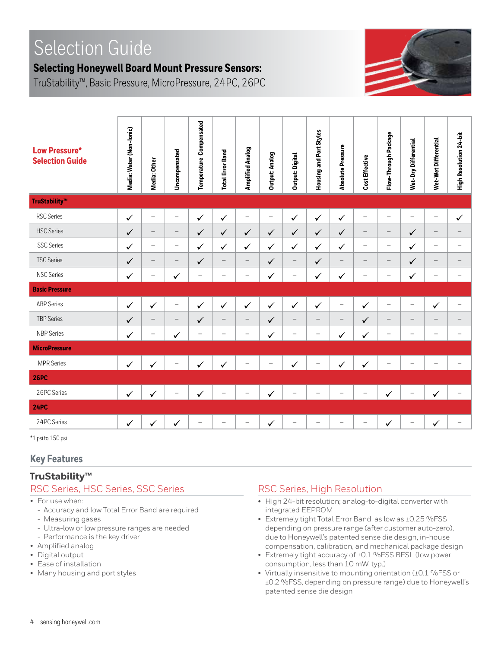## **Selecting Honeywell Board Mount Pressure Sensors:**

TruStability™, Basic Pressure, MicroPressure, 24PC, 26PC



| <b>Low Pressure*</b><br><b>Selection Guide</b> | Media: Water (Non-lonic) | Media: Other             | Uncompensated            | Temperature Compensated | <b>Total Error Band</b>  | Amplified Analog         | <b>Output: Analog</b> | <b>Output: Digital</b> | Housing and Port Styles  | <b>Absolute Pressure</b> | Cost Effective           | Flow-Through Package             | Wet-Dry Differential     | Wet-Wet Differential     | High Resolution 24-bit   |
|------------------------------------------------|--------------------------|--------------------------|--------------------------|-------------------------|--------------------------|--------------------------|-----------------------|------------------------|--------------------------|--------------------------|--------------------------|----------------------------------|--------------------------|--------------------------|--------------------------|
| TruStability™                                  |                          |                          |                          |                         |                          |                          |                       |                        |                          |                          |                          |                                  |                          |                          |                          |
| <b>RSC Series</b>                              | $\checkmark$             | —                        | $\overline{\phantom{0}}$ | ✓                       | ✓                        | $\overline{\phantom{0}}$ | $\qquad \qquad -$     | ✓                      | $\checkmark$             | ✓                        |                          | $\overline{\phantom{0}}$         | $\overline{\phantom{0}}$ | $\overline{\phantom{0}}$ | $\checkmark$             |
| <b>HSC</b> Series                              | $\checkmark$             | $\overline{\phantom{0}}$ | $\qquad \qquad -$        | $\checkmark$            | $\checkmark$             | $\checkmark$             | $\checkmark$          | $\checkmark$           | $\checkmark$             | $\checkmark$             |                          | $\overbrace{\phantom{12322111}}$ | $\checkmark$             | $\overline{\phantom{0}}$ | $\qquad \qquad -$        |
| <b>SSC Series</b>                              | $\checkmark$             | $\overline{\phantom{0}}$ | $\overline{\phantom{0}}$ | $\checkmark$            | $\checkmark$             | $\checkmark$             | $\checkmark$          | ✓                      | $\checkmark$             | $\checkmark$             | $\overline{\phantom{0}}$ | $\overbrace{\phantom{12322111}}$ | ✓                        | $\overline{\phantom{0}}$ | $\overline{\phantom{0}}$ |
| <b>TSC Series</b>                              | $\checkmark$             | $\overline{\phantom{0}}$ | $\qquad \qquad -$        | $\checkmark$            | $\overline{\phantom{m}}$ | $\overline{\phantom{m}}$ | $\checkmark$          | $\qquad \qquad -$      | $\checkmark$             | $\overline{\phantom{0}}$ | $\overline{\phantom{m}}$ | $\overbrace{\phantom{12322111}}$ | $\checkmark$             | $\overline{\phantom{0}}$ | $\overline{\phantom{m}}$ |
| <b>NSC Series</b>                              | $\checkmark$             |                          | ✓                        |                         | $\overline{\phantom{0}}$ | $\overline{\phantom{0}}$ | ✓                     | —                      | ✓                        | ✓                        |                          |                                  | ✓                        | $\overline{\phantom{0}}$ | $\overline{\phantom{0}}$ |
| <b>Basic Pressure</b>                          |                          |                          |                          |                         |                          |                          |                       |                        |                          |                          |                          |                                  |                          |                          |                          |
| <b>ABP Series</b>                              | $\checkmark$             | $\checkmark$             | $\overline{\phantom{0}}$ | $\checkmark$            | $\checkmark$             | $\checkmark$             | $\checkmark$          | $\checkmark$           | $\checkmark$             | $\overline{\phantom{m}}$ | $\checkmark$             |                                  | $\overline{\phantom{0}}$ | ✓                        | $\overline{\phantom{0}}$ |
| <b>TBP Series</b>                              | $\checkmark$             | $\overline{\phantom{0}}$ | $\qquad \qquad -$        | $\checkmark$            | $\overline{\phantom{m}}$ | $\overline{\phantom{m}}$ | $\checkmark$          | $\qquad \qquad -$      | $\overline{\phantom{0}}$ | $\overline{\phantom{m}}$ | $\checkmark$             | $\qquad \qquad -$                | $\qquad \qquad -$        | $\overline{\phantom{0}}$ | $\overline{\phantom{m}}$ |
| <b>NBP Series</b>                              | ✓                        |                          | $\checkmark$             |                         |                          |                          | ✓                     |                        |                          | ✓                        | ✓                        |                                  | $\overline{\phantom{0}}$ | $\overline{\phantom{0}}$ |                          |
| <b>MicroPressure</b>                           |                          |                          |                          |                         |                          |                          |                       |                        |                          |                          |                          |                                  |                          |                          |                          |
| MPR Series                                     | $\checkmark$             |                          |                          | $\checkmark$            | $\checkmark$             |                          |                       | ✓                      |                          | ✓                        | ✓                        |                                  |                          |                          |                          |
| <b>26PC</b>                                    |                          |                          |                          |                         |                          |                          |                       |                        |                          |                          |                          |                                  |                          |                          |                          |
| 26PC Series                                    | $\checkmark$             | $\checkmark$             |                          | ✓                       |                          |                          | $\checkmark$          |                        |                          |                          |                          | $\checkmark$                     |                          | ✓                        | $\overline{\phantom{0}}$ |
| <b>24PC</b>                                    |                          |                          |                          |                         |                          |                          |                       |                        |                          |                          |                          |                                  |                          |                          |                          |
| 24PC Series                                    | $\checkmark$             | $\checkmark$             | $\checkmark$             |                         |                          |                          | $\checkmark$          |                        |                          |                          |                          | $\checkmark$                     |                          | ✓                        | $\overline{\phantom{0}}$ |

\*1 psi to 150 psi

#### **Key Features**

#### **TruStability™**

#### RSC Series, HSC Series, SSC Series

- For use when:
- Accuracy and low Total Error Band are required
- Measuring gases
- Ultra-low or low pressure ranges are needed
- Performance is the key driver
- Amplified analog
- Digital output
- Ease of installation
- Many housing and port styles

#### RSC Series, High Resolution

- High 24-bit resolution; analog-to-digital converter with integrated EEPROM
- Extremely tight Total Error Band, as low as ±0.25 %FSS depending on pressure range (after customer auto-zero), due to Honeywell's patented sense die design, in-house compensation, calibration, and mechanical package design
- Extremely tight accuracy of ±0.1 %FSS BFSL (low power consumption, less than 10 mW, typ.)
- Virtually insensitive to mounting orientation (±0.1 %FSS or ±0.2 %FSS, depending on pressure range) due to Honeywell's patented sense die design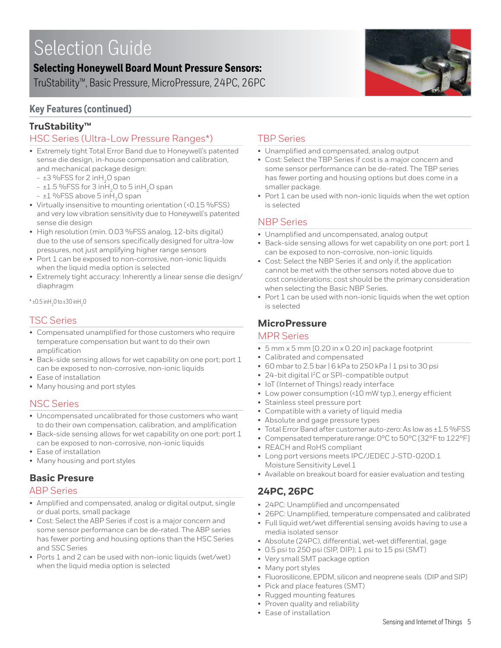## **Selecting Honeywell Board Mount Pressure Sensors:**

TruStability™, Basic Pressure, MicroPressure, 24PC, 26PC

## **Key Features (continued)**

## **TruStability™**

## HSC Series (Ultra-Low Pressure Ranges\*)

- Extremely tight Total Error Band due to Honeywell's patented sense die design, in-house compensation and calibration, and mechanical package design:
	- $\pm$ 3 %FSS for 2 inH<sub>2</sub>O span
	- $-$  ±1.5 %FSS for 3 in  $H<sub>2</sub>O$  to 5 in  $H<sub>2</sub>O$  span
	- $\pm$ 1 %FSS above 5 in H<sub>2</sub>O span
- Virtually insensitive to mounting orientation (<0.15 %FSS) and very low vibration sensitivity due to Honeywell's patented sense die design
- High resolution (min. 0.03 %FSS analog, 12-bits digital) due to the use of sensors specifically designed for ultra-low pressures, not just amplifying higher range sensors
- Port 1 can be exposed to non-corrosive, non-ionic liquids when the liquid media option is selected
- Extremely tight accuracy: Inherently a linear sense die design/ diaphragm

 $*$  ±0.5 inH<sub>2</sub>O to ±3O inH<sub>2</sub>O

### TSC Series

- Compensated unamplified for those customers who require temperature compensation but want to do their own amplification
- Back-side sensing allows for wet capability on one port; port 1 can be exposed to non-corrosive, non-ionic liquids
- Ease of installation
- Many housing and port styles

### NSC Series

- Uncompensated uncalibrated for those customers who want to do their own compensation, calibration, and amplification
- Back-side sensing allows for wet capability on one port: port 1 can be exposed to non-corrosive, non-ionic liquids
- Ease of installation
- Many housing and port styles

### **Basic Presure**

#### ABP Series

- Amplified and compensated, analog or digital output, single or dual ports, small package
- Cost: Select the ABP Series if cost is a major concern and some sensor performance can be de-rated. The ABP series has fewer porting and housing options than the HSC Series and SSC Series
- Ports 1 and 2 can be used with non-ionic liquids (wet/wet) when the liquid media option is selected

#### TBP Series

- Unamplified and compensated, analog output
- Cost: Select the TBP Series if cost is a major concern and some sensor performance can be de-rated. The TBP series has fewer porting and housing options but does come in a smaller package.
- Port 1 can be used with non-ionic liquids when the wet option is selected

#### NBP Series

- Unamplified and uncompensated, analog output
- Back-side sensing allows for wet capability on one port: port 1 can be exposed to non-corrosive, non-ionic liquids
- Cost: Select the NBP Series if, and only if, the application cannot be met with the other sensors noted above due to cost considerations; cost should be the primary consideration when selecting the Basic NBP Series.
- Port 1 can be used with non-ionic liquids when the wet option is selected

### **MicroPressure**

#### MPR Series

- 5 mm x 5 mm [0.20 in x 0.20 in] package footprint
- Calibrated and compensated
- 60 mbar to 2.5 bar | 6 kPa to 250 kPa | 1 psi to 30 psi
- 24-bit digital I2C or SPI-compatible output
- IoT (Internet of Things) ready interface
- Low power consumption (<10 mW typ.), energy efficient
- Stainless steel pressure port
- Compatible with a variety of liquid media
- Absolute and gage pressure types
- Total Error Band after customer auto-zero: As low as ±1.5 %FSS
- Compensated temperature range: 0ºC to 50ºC [32ºF to 122ºF]
- REACH and RoHS compliant
- Long port versions meets IPC/JEDEC J-STD-020D.1 Moisture Sensitivity Level 1
- Available on breakout board for easier evaluation and testing

## **24PC, 26PC**

- 24PC: Unamplified and uncompensated
- 26PC: Unamplified, temperature compensated and calibrated
- Full liquid wet/wet differential sensing avoids having to use a media isolated sensor
- Absolute (24PC), differential, wet-wet differential, gage
- 0.5 psi to 250 psi (SIP, DIP); 1 psi to 15 psi (SMT)
- Very small SMT package option
- Many port styles
- Fluorosilicone, EPDM, silicon and neoprene seals (DIP and SIP)
- Pick and place features (SMT)
- Rugged mounting features
- Proven quality and reliability
- Ease of installation

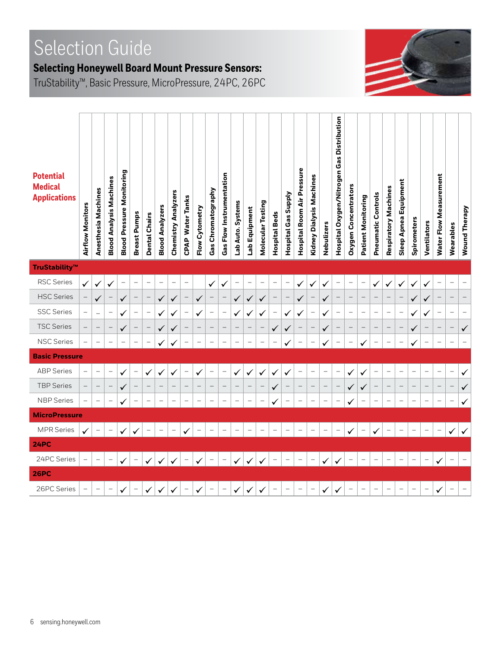## **Selecting Honeywell Board Mount Pressure Sensors:**

TruStability™, Basic Pressure, MicroPressure, 24PC, 26PC